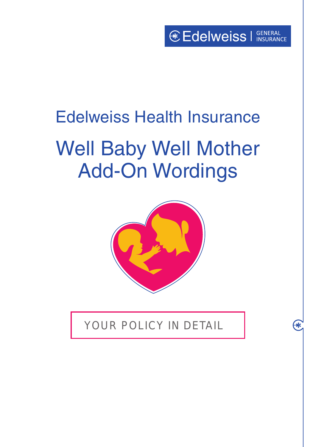$\bigcirc$ 

## Edelweiss Health Insurance

# Well Baby Well Mother Add-On Wordings



YOUR POLICY IN DETAIL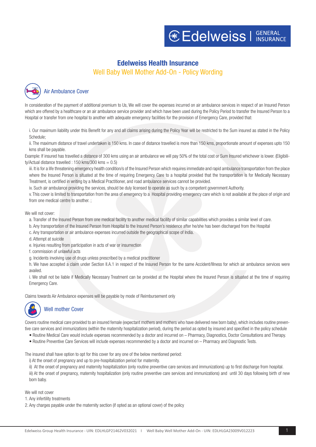## **Edelweiss Health Insurance**

Well Baby Well Mother Add-On - Policy Wording



In consideration of the payment of additional premium to Us, We will cover the expenses incurred on air ambulance services in respect of an Insured Person which are offered by a healthcare or an air ambulance service provider and which have been used during the Policy Period to transfer the Insured Person to a Hospital or transfer from one hospital to another with adequate emergency facilities for the provision of Emergency Care, provided that:

i. Our maximum liability under this Benefit for any and all claims arising during the Policy Year will be restricted to the Sum insured as stated in the Policy Schedule;

ii. The maximum distance of travel undertaken is 150 kms. In case of distance travelled is more than 150 kms, proportionate amount of expenses upto 150 kms shall be payable.

Example: If insured has travelled a distance of 300 kms using an air ambulance we will pay 50% of the total cost or Sum Insured whichever is lower. (Eligibility/Actual distance travelled : 150 kms/300 kms =  $0.5$ )

iii. It is for a life threatening emergency health condition/s of the Insured Person which requires immediate and rapid ambulance transportation from the place where the Insured Person is situated at the time of requiring Emergency Care to a hospital provided that the transportation is for Medically Necessary Treatment, is certified in writing by a Medical Practitioner, and road ambulance services cannot be provided.

iv. Such air ambulance providing the services, should be duly licensed to operate as such by a competent government Authority.

v. This cover is limited to transportation from the area of emergency to a Hospital providing emergency care which is not available at the place of origin and from one medical centre to another. ;

We will not cover:

a. Transfer of the Insured Person from one medical facility to another medical facility of similar capabilities which provides a similar level of care.

b. Any transportation of the Insured Person from Hospital to the Insured Person's residence after he/she has been discharged from the Hospital

c. Any transportation or air ambulance expenses incurred outside the geographical scope of India.

d. Attempt at suicide

e. Injuries resulting from participation in acts of war or insurrection

f. commission of unlawful acts

g. Incidents involving use of drugs unless prescribed by a medical practitioner

h. We have accepted a claim under Section II.A.1 in respect of the Insured Person for the same Accident/Illness for which air ambulance services were availed.

i. We shall not be liable if Medically Necessary Treatment can be provided at the Hospital where the Insured Person is situated at the time of requiring Emergency Care.

Claims towards Air Ambulance expenses will be payable by mode of Reimbursement only

Well mother Cover

Covers routine medical care provided to an insured female (expectant mothers and mothers who have delivered new born baby), which includes routine preventive care services and immunizations (within the maternity hospitalization period), during the period as opted by insured and specified in the policy schedule

- Routine Medical Care would include expenses recommended by a doctor and incurred on Pharmacy, Diagnostics, Doctor Consultations and Therapy.
- Routine Preventive Care Services will include expenses recommended by a doctor and incurred on Pharmacy and Diagnostic Tests.

The insured shall have option to opt for this cover for any one of the below mentioned period:

i) At the onset of pregnancy and up to pre-hospitalization period for maternity.

ii) At the onset of pregnancy and maternity hospitalization (only routine preventive care services and immunizations) up to first discharge from hospital. iii) At the onset of pregnancy, maternity hospitalization (only routine preventive care services and immunizations) and until 30 days following birth of new born baby.

We will not cover

1. Any infertility treatments

2. Any charges payable under the maternity section (if opted as an optional cover) of the policy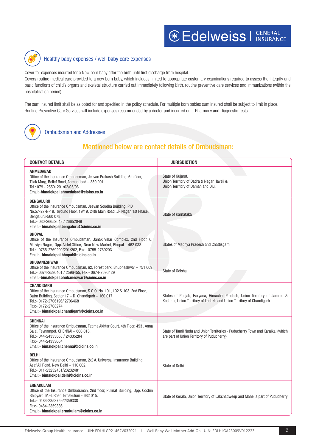

### Healthy baby expenses / well baby care expenses

Cover for expenses incurred for a New born baby after the birth until first discharge from hospital. Covers routine medical care provided to a new born baby, which includes limited to appropriate customary examinations required to assess the integrity and basic functions of child's organs and skeletal structure carried out immediately following birth, routine preventive care services and immunizations (within the hospitalization period).

The sum insured limit shall be as opted for and specified in the policy schedule. For multiple born babies sum insured shall be subject to limit in place. Routine Preventive Care Services will include expenses recommended by a doctor and incurred on – Pharmacy and Diagnostic Tests.



Ombudsman and Addresses

## Mentioned below are contact details of Ombudsman:

| <b>CONTACT DETAILS</b>                                                                                                                                                                                                                                              | <b>JURISDICTION</b>                                                                                                                             |
|---------------------------------------------------------------------------------------------------------------------------------------------------------------------------------------------------------------------------------------------------------------------|-------------------------------------------------------------------------------------------------------------------------------------------------|
| <b>AHMEDABAD</b><br>Office of the Insurance Ombudsman, Jeevan Prakash Building, 6th floor,<br>Tilak Marg, Relief Road, Ahmedabad - 380 001.<br>Tel.: 079 - 25501201/02/05/06<br>Email:-bimalokpal.ahmedabad@cioins.co.in                                            | State of Gujarat,<br>Union Territory of Dadra & Nagar Haveli &<br>Union Territory of Daman and Diu.                                             |
| <b>BENGALURU</b><br>Office of the Insurance Ombudsman, Jeevan Soudha Building, PID<br>No.57-27-N-19, Ground Floor, 19/19, 24th Main Road, JP Nagar, 1st Phase,<br>Bengaluru-560 078.<br>Tel.:- 080-26652048 / 26652049<br>Email:- bimalokpal.bengaluru@cioins.co.in | State of Karnataka                                                                                                                              |
| <b>BHOPAL</b><br>Office of the Insurance Ombudsman, Janak Vihar Complex, 2nd Floor, 6,<br>Malviya Nagar, Opp. Airtel Office, Near New Market, Bhopal - 462 033.<br>Tel.:- 0755-2769200/201/202, Fax:- 0755-2769203<br>Email:- bimalokpal.bhopal@cioins.co.in        | States of Madhya Pradesh and Chattisgarh                                                                                                        |
| <b>BHUBANESHWAR</b><br>Office of the Insurance Ombudsman, 62, Forest park, Bhubneshwar - 751 009.<br>Tel.:- 0674-2596461 / 2596455, Fax:- 0674-2596429<br>Email:-bimalokpal.bhubaneswar@cioins.co.in                                                                | State of Odisha                                                                                                                                 |
| <b>CHANDIGARH</b><br>Office of the Insurance Ombudsman, S.C.O. No. 101, 102 & 103, 2nd Floor,<br>Batra Building, Sector 17 - D, Chandigarh - 160 017.<br>Tel.:- 0172-2706196/2706468<br>Fax:- 0172-2708274<br>Email:- bimalokpal.chandigarh@cioins.co.in            | States of Punjab, Haryana, Himachal Pradesh, Union Territory of Jammu &<br>Kashmir, Union Territory of Ladakh and Union Territory of Chandigarh |
| <b>CHENNAI</b><br>Office of the Insurance Ombudsman, Fatima Akhtar Court, 4th Floor, 453, Anna<br>Salai, Teynampet, CHENNAI - 600 018.<br>Tel.:- 044-24333668 / 24335284<br>Fax:- 044-24333664<br>Email:- bimalokpal.chennai@cioins.co.in                           | State of Tamil Nadu and Union Territories - Puducherry Town and Karaikal (which<br>are part of Union Territory of Puducherry)                   |
| <b>DELHI</b><br>Office of the Insurance Ombudsman, 2/2 A, Universal Insurance Building,<br>Asaf Ali Road, New Delhi - 110 002.<br>Tel.:- 011-23232481/23232481<br>Email:- bimalokpal.delhi@cioins.co.in                                                             | <b>State of Delhi</b>                                                                                                                           |
| <b>ERNAKULAM</b><br>Office of the Insurance Ombudsman, 2nd floor, Pulinat Building, Opp. Cochin<br>Shipyard, M.G. Road, Ernakulum - 682 015.<br>Tel.:- 0484-2358759/2359338<br>Fax:- 0484-2359336<br>Email:- bimalokpal.ernakulam@cioins.co.in                      | State of Kerala, Union Territory of Lakshadweep and Mahe, a part of Puducherry                                                                  |